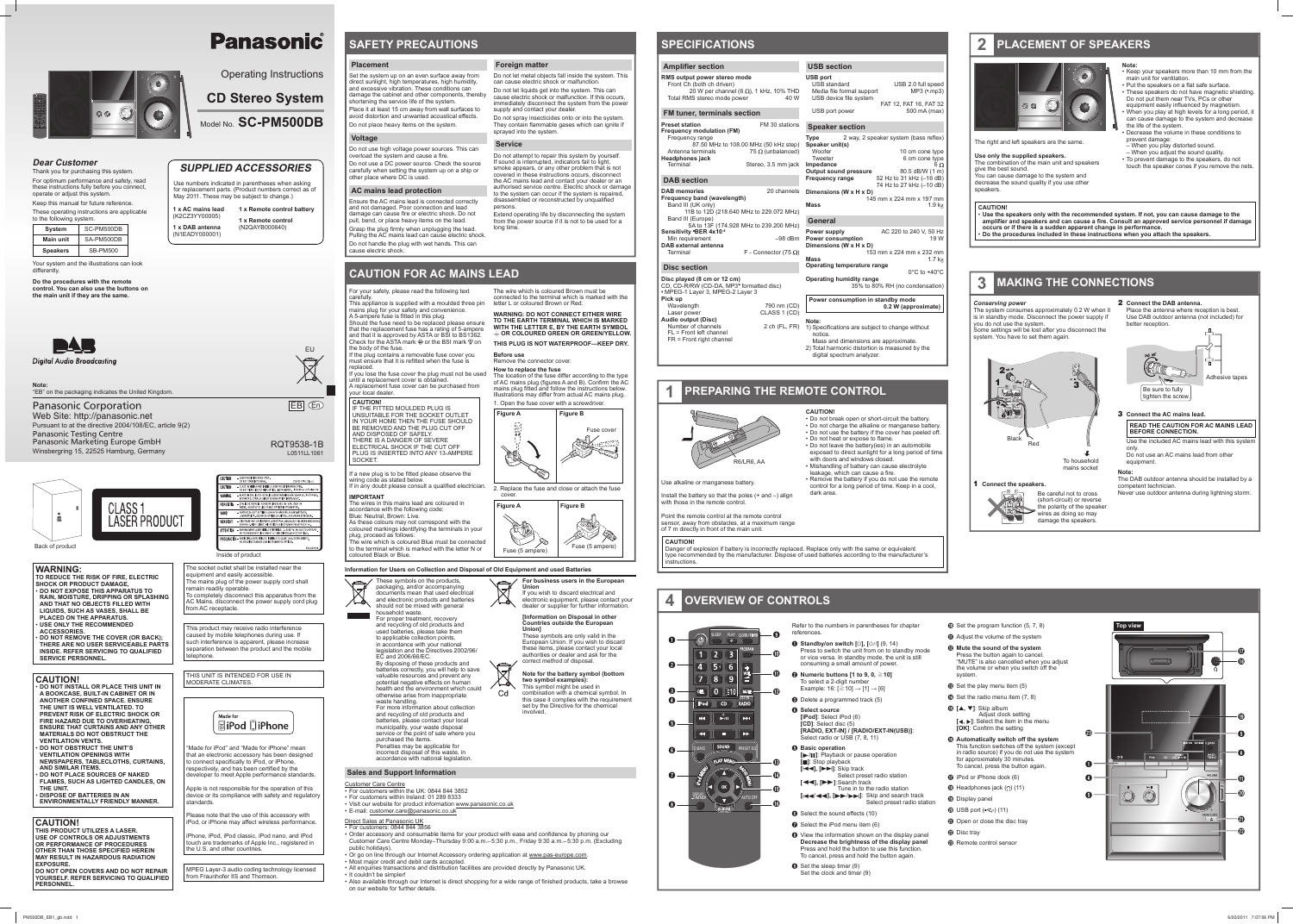Operating Instructions

# **CD Stereo System**



### **SUPPLIED ACCESSORIES**

Use numbers indicated in parentheses when asking for replacement parts. (Product numbers correct as of May 2011. These may be subject to change.)

**1 x AC mains lead**(K2CZ3YY00005) **1 x DAB antenna** (N1EADY000001) **1 x Remote control battery 1 x Remote control**(N2QAYB000640)



### **Dear Customer**

Thank you for purchasing this system. For optimum performance and safety, read these instructions fully before you connect, operate or adjust this system. Keep this manual for future reference.

> o completely disconnect this apparatus from the AC Mains, disconnect the power supply cord plug

These operating instructions are applicable to the following system.

| SC-PM500DB      |
|-----------------|
| SA-PM500DB      |
| <b>SB-PM500</b> |
|                 |

"Made for iPod" and "Made for iPhone" mean that an electronic accessory has been designed to connect specifically to iPod, or iPhone, respectively, and has been certified by the developer to meet Apple performance standards. Apple is not responsible for the operation of this device or its compliance with safety and regulatory

**BiPod DiPhone** 

Your system and the illustrations can look differently.

**Do the procedures with the remote control. You can also use the buttons on the main unit if they are the same.**



**Digital Audio Broadcasting** 

The socket outlet shall be installed near the

equipment and easily accessible.

emain readily operable

Please note that the use of this accessory with iPod, or iPhone may affect wireless performance. iPhone, iPod, iPod classic, iPod nano, and iPod touch are trademarks of Apple Inc., registered in

The mains plug of the power supply cord shall

LASER RADIATION WHEN

**FORMATIC SETRAKEN DIREKT GENOM OPTISKT INSTRUMENT<br>
FORSIGTIG - SYNUS OG USYNUS USES TRÅLEN KURAL AVER LÅREN.<br>
VARIO!** - AMATTAESSA OLET ALTTINK LUOKAN TAI NÅRVAÅ JA NÅRY<br>
LASERSÄTELIVÄ, ÅLÄ KATSO OPTISELLA LAITTEELLA SUON

**TENTION - RAYONNEMENT LASER VISIBLE ET INVISIBLE, CLASSE 11.**<br>NE PAS REGARDER DIRECTEMENT À L'AIDE D'INSTRUMEN

**RECAUCIÓN - RADIACIÓN LASER VISIBLE E INVISIBLE DE CLASE 1M A**<br>NO VEA DIBECTAMENTE CON INSTRUMENTOS ÓPTICOS

LASERSATELIYA ALA KAISO OPTISELLA LAITTEE<br>**VORSICHT -** SICHTBARE UND UNSICHTBARE LASERSTRAHLU<br>GEÖFFNET. NICHT DIREKT MIT OPTISCHEN INST

from AC receptacle.

This product may receive radio interference caused by mobile telephones during use. If such interference is apparent, please increase separation between the product and the mobile

telephone.

THIS UNIT IS INTENDED FOR USE IN

MODERATE CLIMATES.

Made for

 **THIS PRODUCT UTILIZES A LASER. USE OF CONTROLS OR ADJUSTMENTS OR PERFORMANCE OF PROCEDURES OTHER THAN THOSE SPECIFIED HEREIN MAY RESULT IN HAZARDOUS RADIATION EXPOSURE** 

standards.

the U.S. and other countries.

MPEG Layer-3 audio coding technology licensed

from Fraunhofer IIS and Thomson.

### **WARNING:**

**TO REDUCE THE RISK OF FIRE, ELECTRIC SHOCK OR PRODUCT DAMAGE,** • **DO NOT EXPOSE THIS APPARATUS TO RAIN, MOISTURE, DRIPPING OR SPLASHING AND THAT NO OBJECTS FILLED WITH LIQUIDS, SUCH AS VASES, SHALL BE** 

**PLACED ON THE APPARATUS.**• **USE ONLY THE RECOMMENDED** 

**ACCESSORIES.**

 • **DO NOT REMOVE THE COVER (OR BACK); THERE ARE NO USER SERVICEABLE PARTS INSIDE. REFER SERVICING TO QUALIFIED SERVICE PERSONNEL.**

If the plug contains a removable fuse cover you must ensure that it is refitted when the fuse is replaced.

### **CAUTION!**

**CAUTION!** IF THE FITTED MOULDED PLUG IS UNSUITABLE FOR THE SOCKET OUTLET IN YOUR HOME THEN THE FUSE SHOULD BE REMOVED AND THE PLUG CUT OFF AND DISPOSED OF SAFELY. THERE IS A DANGER OF SEVERE ELECTRICAL SHOCK IF THE CUT OFF PLUG IS INSERTED INTO ANY 13-AMPERE **SOCKET** 

• **DO NOT INSTALL OR PLACE THIS UNIT IN A BOOKCASE, BUILT-IN CABINET OR IN ANOTHER CONFINED SPACE. ENSURE THE UNIT IS WELL VENTILATED. TO PREVENT RISK OF ELECTRIC SHOCK OR FIRE HAZARD DUE TO OVERHEATING, ENSURE THAT CURTAINS AND ANY OTHER MATERIALS DO NOT OBSTRUCT THE VENTILATION VENTS.**

• **DO NOT OBSTRUCT THE UNIT'S VENTILATION OPENINGS WITH NEWSPAPERS, TABLECLOTHS, CURTAINS,**  The wire which is coloured Blue must be connected to the terminal which is marked with the letter N or coloured Black or Blue.

**AND SIMILAR ITEMS.** • **DO NOT PLACE SOURCES OF NAKED FLAMES, SUCH AS LIGHTED CANDLES, ON** 

**THE UNIT.**• **DISPOSE OF BATTERIES IN AN** 

**ENVIRONMENTALLY FRIENDLY MANNER.**

### **CAUTION!**

 **DO NOT OPEN COVERS AND DO NOT REPAIR YOURSELF. REFER SERVICING TO QUALIFIED PERSONNEL.**

# **Panasonic**

Inside of product

#### Back of product

### **Placement**

Set the system up on an even surface away from direct sunlight, high temperatures, high humidity, and excessive vibration. These conditions can damage the cabinet and other components, thereby shortening the service life of the system. Place it at least 15 cm away from wall surfaces to

avoid distortion and unwanted acoustical effects.Do not place heavy items on the system.

### **Voltage**

Do not use high voltage power sources. This can overload the system and cause a fire.

Do not use a DC power source. Check the source carefully when setting the system up on a ship or other place where DC is used.

### **AC mains lead protection**

Ensure the AC mains lead is connected correctly and not damaged. Poor connection and lead damage can cause fire or electric shock. Do not pull, bend, or place heavy items on the lead. Grasp the plug firmly when unplugging the lead.

Pulling the AC mains lead can cause electric shock. Do not handle the plug with wet hands. This can cause electric shock.

For your safety, please read the following text

carefully. This appliance is supplied with a moulded three pin mains plug for your safety and convenience.

A 5-ampere fuse is fitted in this plug. Should the fuse need to be replaced please ensure that the replacement fuse has a rating of 5-ampere and that it is approved by ASTA or BSI to BS1362. Check for the ASTA mark  $\circledast$  or the BSI mark  $\heartsuit$  on the body of the fuse.

 Mass and dimensions are approximate. 2) Total harmonic distortion is measured by the digital spectrum analyzer

If you lose the fuse cover the plug must not be used until a replacement cover is obtained. A replacement fuse cover can be purchased from

**2 Connect the DAB antenna.** Place the antenna where reception is best. Use DAB outdoor antenna (not included) for better reception

your local dealer.

If a new plug is to be fitted please observe the wiring code as stated below.

The wires in this mains lead are coloured in accordance with the following code:

Blue: Neutral, Brown: Live. As these colours may not correspond with the

coloured markings identifying the terminals in your plug, proceed as follows:



### **CAUTION FOR AC MAINS LEAD**

**Foreign matter**

Do not let metal objects fall inside the system. This

can cause electric shock or malfunction. Do not let liquids get into the system. This can cause electric shock or malfunction. If this occurs,

immediately disconnect the system from the power supply and contact your dealer Do not spray insecticides onto or into the system. They contain flammable gases which can ignite if sprayed into the system.

- Refer to the numbers in parentheses for chapter **Top View Top view Top view Top view Top view** references.
- **O** Standby/on switch  $[\cup]$ ,  $[\cup]$  (9, 14) Press to switch the unit from on to standby mode or vice versa. In standby mode, the unit is still consuming a small amount of power.
- **<sup><b>Ø Numeric buttons [1 to 9, 0, ≥10]**</sup> To select a 2-digit number
- Example: 16: [ ≧10] <sup>→</sup> [1] <sup>→</sup> [6] **O** Delete a programmed track (5)
- D **Select source [iPod]**: Select iPod (6) **[CD]**: Select disc (5) **[RADIO, EXT-IN] / [RADIO/EXT-IN(USB)]**: Select radio or USB (7, 8, 11)
- $\Theta$  Basic operation **[**4/9**]**: Playback or pause operation **[**8**]**: Stop playback **[**2**], [** 6**]**: Skip track
- Select preset radio station **[**3**], [** 5**]**: Search track Tune in to the radio station
- **[** $\left| \right|$   $\left| \right|$  **4**  $\left| \right|$  **b**  $\left| \right|$  **b** Skip and search track Select preset radio station
- **O** Select the sound effects (10)
- G Select the iPod menu item (6)  $\bullet$  View the information shown on the display panel **Decrease the brightness of the display panel** Press and hold the button to use this function. To cancel, press and hold the button again.
- $\bullet$  Set the sleep timer (9) Set the clock and timer (9)

## **PLACEMENT OF SPEAKERS**



### The right and left speakers are the same.

#### **Service**

If in any doubt please consult a qualified electrician. **IMPORTANT** 2. Replace the fuse and close or attach the fuse

Do not attempt to repair this system by yourself. If sound is interrupted, indicators fail to light, smoke appears, or any other problem that is not covered in these instructions occurs, disconnect the AC mains lead and contact your dealer or an authorised service centre. Electric shock or damage to the system can occur if the system is repaired, disassembled or reconstructed by unqualified persons.

- $\bullet$  Set the program function  $(5, 7, 8)$
- $\Phi$  Adjust the volume of the system
- L **Mute the sound of the system** Press the button again to cancel. "MUTE" is also cancelled when you adjust the volume or when you switch off the system.
- $\bullet$  Set the play menu item (5)
- $\bullet$  Set the radio menu item (7, 8)
- O **[**R**,** <sup>T</sup>**]**: Skip album Adjust clock setting **[**√, ▶]: Select the item in the menu **[OK]**: Confirm the setting
- P **Automatically switch off the system**  This function switches off the system (except in radio source) if you do not use the system for approximately 30 minutes. To cancel, press the button again.
- $\Phi$  iPod or iPhone dock (6)
- $\bullet$  Headphones jack  $\circ$  (11)
- **B** Display panel
- $\omega$  USB port  $(\overrightarrow{\mathbf{C}})$  (11)
- **1** Open or close the disc tray
- **2** Disc trav
- W Remote control sensor

Extend operating life by disconnecting the system from the power source if it is not to be used for a long time.

The wire which is coloured Brown must be connected to the terminal which is marked with the

letter L or coloured Brown or Red.

**WARNING: DO NOT CONNECT EITHER WIRE TO THE EARTH TERMINAL WHICH IS MARKED WITH THE LETTER E, BY THE EARTH SYMBOL OR COLOURED GREEN OR GREEN/YELLOW.THIS PLUG IS NOT WATERPROOF—KEEP DRY.**

**Before use**

Remove the connector cover.**How to replace the fuse**

The location of the fuse differ according to the type of AC mains plug (figures A and B). Confirm the AC mains plug fitted and follow the instructions below. Illustrations may differ from actual AC mains plug. 1. Open the fuse cover with a screwdriver. **Figure A Figure B**

cover.

食品

 $\begin{array}{c}\n\mathbf{w} \equiv \mathbf{0} \\
\mathbf{w} \equiv \mathbf{0} \\
\mathbf{w} \equiv \mathbf{0} \\
\mathbf{w} \equiv \mathbf{0} \\
\mathbf{w} \equiv \mathbf{0} \\
\mathbf{w} \equiv \mathbf{0} \\
\mathbf{w} \equiv \mathbf{0} \\
\mathbf{w} \equiv \mathbf{0} \\
\mathbf{w} \equiv \mathbf{0} \\
\mathbf{w} \equiv \mathbf{0} \\
\mathbf{w} \equiv \mathbf{0} \\
\mathbf{w} \equiv \mathbf{0} \\
\mathbf{w} \equiv \mathbf{0} \\
\mathbf{w} \equiv \mathbf{0} \\
\math$ 

海野

**Figure A Figure B**

Fuse (5 ampere) Fuse (5 ampere)

Fuse cover

化学

**SERVIT** 

 $^{\prime}$  Hedge

Penalties may be applicable for incorrect disposal of this waste, in accordance with national legislation

### **Conserving power**

The system consumes approximately 0.2 W when it is in standby mode. Disconnect the power supply if you do not use the system Some settings will be lost after you disconnect the system. You have to set them again.

| <b>Amplifier section</b>                                                                                                                                |                                                 | <b>USB section</b>                                                                                         |                                                                                                     |
|---------------------------------------------------------------------------------------------------------------------------------------------------------|-------------------------------------------------|------------------------------------------------------------------------------------------------------------|-----------------------------------------------------------------------------------------------------|
|                                                                                                                                                         |                                                 |                                                                                                            |                                                                                                     |
| RMS output power stereo mode<br>Front Ch (both ch driven)<br>20 W per channel (6 $\Omega$ ), 1 kHz, 10% THD<br>Total RMS stereo mode power              | 40 W                                            | <b>USB port</b><br><b>USB</b> standard<br>Media file format support<br>USB device file system              | USB 2.0 full speed<br>MP3 (*.mp3)<br>FAT 12, FAT 16, FAT 32                                         |
| <b>FM tuner, terminals section</b>                                                                                                                      |                                                 | USB port power                                                                                             | 500 mA (max)                                                                                        |
| <b>Preset station</b><br><b>Frequency modulation (FM)</b>                                                                                               | FM 30 stations                                  | <b>Speaker section</b>                                                                                     |                                                                                                     |
| Frequency range<br>87.50 MHz to 108.00 MHz (50 kHz step)<br>Antenna terminals<br><b>Headphones jack</b><br>Terminal                                     | 75 $\Omega$ (unbalanced)<br>Stereo, 3.5 mm jack | <b>Type</b><br>Speaker unit(s)<br>Woofer<br>Tweeter<br>Impedance<br>Output sound pressure                  | 2 way, 2 speaker system (bass reflex)<br>10 cm cone type<br>6 cm cone type<br>6Ω<br>80.5 dB/W (1 m) |
| <b>DAB</b> section                                                                                                                                      |                                                 | <b>Frequency range</b>                                                                                     | 52 Hz to 31 kHz (-16 dB)<br>74 Hz to 27 kHz (-10 dB)                                                |
| <b>DAB</b> memories<br>20 channels<br>Frequency band (wavelength)<br>Band III (UK only)<br>11B to 12D (218.640 MHz to 229.072 MHz)<br>Band III (Europe) |                                                 | Dimensions (W x H x D)<br>Mass<br>General                                                                  | 145 mm x 224 mm x 197 mm<br>1.9 <sub>kg</sub>                                                       |
| 5A to 13F (174.928 MHz to 239.200 MHz)                                                                                                                  |                                                 |                                                                                                            |                                                                                                     |
| Sensitivity *BER 4x10 <sup>-4</sup><br>Min requirement<br><b>DAB</b> external antenna<br>Terminal                                                       | $-98$ dBm<br>F - Connector (75 $\Omega$ )       | Power supply<br><b>Power consumption</b><br>Dimensions (W x H x D)<br><b>Mass</b>                          | AC 220 to 240 V, 50 Hz<br>19 W<br>153 mm x 224 mm x 232 mm<br>1.7 <sub>kg</sub>                     |
| <b>Disc section</b>                                                                                                                                     |                                                 | Operating temperature range                                                                                | $0^{\circ}$ C to +40 $^{\circ}$ C                                                                   |
| Disc played (8 cm or 12 cm)<br>CD, CD-R/RW (CD-DA, MP3 <sup>*</sup> formatted disc)<br>* MPEG-1 Layer 3, MPEG-2 Layer 3                                 |                                                 | <b>Operating humidity range</b>                                                                            | 35% to 80% RH (no condensation)                                                                     |
| Pick up<br>Wavelength<br>Laser power                                                                                                                    | 790 nm (CD)<br>CLASS 1 (CD)                     | Power consumption in standby mode                                                                          | 0.2 W (approximate)                                                                                 |
| <b>Audio output (Disc)</b><br>Number of channels<br>$FL = Front left channel$<br>FR = Front right channel                                               | $2$ ch (FL, FR)                                 | Note:<br>1) Specifications are subject to change without<br>notice.<br>Mass and dimonsions are approximate |                                                                                                     |



### **1 Connect the speakers.**

Be careful not to cross (short-circuit) or reverse the polarity of the speaker wires as doing so may damage the speakers.



### **3 Connect the AC mains lead.**

**READ THE CAUTION FOR AC MAINS LEAD BEFORE CONNECTION.** Use the included AC mains lead with this system

only. Do not use an AC mains lead from other

#### equipment. **Note:**

The DAB outdoor antenna should be installed by a competent technician. Never use outdoor antenna during lightning storm.

### **SPECIFICATIONS**

### **3 MAKING THE CONNECTIONS**

Use alkaline or manganese battery.

- Install the battery so that the poles (+ and –) align with those in the remote control.
- Point the remote control at the remote control sensor, away from obstacles, at a maximum range of 7 m directly in front of the main unit.

**CAUTION!**

• Do not break open or short-circuit the battery. • Do not charge the alkaline or manganese battery. • Do not use the battery if the cover has peeled off.

• Do not heat or expose to flame.

• Do not leave the battery(ies) in an automobile exposed to direct sunlight for a long period of time

with doors and windows closed.

• Mishandling of battery can cause electrolyte

leakage, which can cause a fire.

### **PREPARING THE REMOTE CONTROL**

• Remove the battery if you do not use the remote control for a long period of time. Keep in a cool,

dark area.

### **4 OVERVIEW OF CONTROLS**



- 
- -



Web Site: http://panasonic.net Pursuant to at the directive 2004/108/EC, article 9(2) Panasonic Testing Centre Panasonic Marketing Europe GmbH Winsbergring 15, 22525 Hamburg, Germany



EB

**Use only the supplied speakers.** The combination of the main unit and speakers

give the best sound. You can cause damage to the system and

decrease the sound quality if you use other speakers.

**Note:**

• Keep your speakers more than 10 mm from the

main unit for ventilation.

the life of the system

• Put the speakers on a flat safe surface. • These speakers do not have magnetic shielding. Do not put them near TVs, PCs or other equipment easily influenced by magnetism. • When you play at high levels for a long period, it can cause damage to the system and decrease

• Decrease the volume in these conditions to

prevent damage:

– When you play distorted sound. – When you adjust the sound quality. • To prevent damage to the speakers, do not touch the speaker cones if you remove the nets.

### **CAUTION!**

 • **Use the speakers only with the recommended system. If not, you can cause damage to the amplifier and speakers and can cause a fire. Consult an approved service personnel if damage occurs or if there is a sudden apparent change in performance.** • **Do the procedures included in these instructions when you attach the speakers.**

**CAUTION!**

Danger of explosion if battery is incorrectly replaced. Replace only with the same or equivalent type recommended by the manufacturer. Dispose of used batteries according to the manufacturer's instructions.

**Information for Users on Collection and Disposal of Old Equipment and used Batteries**

These symbols on the products, packaging, and/or accompanying documents mean that used electrical and electronic products and batteries should not be mixed with general household waste.

For proper treatment, recovery and recycling of old products and used batteries, please take them to applicable collection points, in accordance with your national egislation and the Directives 2002/96/ EC and 2006/66/EC.

By disposing of these products and batteries correctly, you will help to save valuable resources and prevent any potential negative effects on human alth and th otherwise arise from inappropriate

waste handling. For more information about collection and recycling of old products and batteries, please contact your local municipality, your waste disposal service or the point of sale where you purchased the items.



**two symbol examples):** This symbol might be used in combination with a chemical symbol. In this case it complies with the requirement set by the Directive for the chemical

involved.

**Sensitivity** Min requi **DAB** extern Terminal

### **Disc sec**

**Disc played** CD, CD-R/  $MPEG-1$  L **Pick up** Waveleng Laser pow **Audio outp** Number of  $FL = Fror$  $FR =$  Front





### **Sales and Support Information**

- Customer Care Centre
- For customers within the UK: 0844 844 3852
- For customers within Ireland: 01 289 8333 • Visit our website for product information www.panasonic.co.uk
- E-mail: customer.care@panasonic.co.uk

#### Direct Sales at Panasonic UK • For customers: 0844 844 3856

- Order accessory and consumable items for your product with ease and confidence by phoning our Customer Care Centre Monday–Thursday 9:00 a.m.– 5:30 p.m., Friday 9:30 a.m.– 5:30 p.m. (Excluding public holidays).
- Or go on line through our Internet Accessory ordering application at www.pas-europe.com.
- Most major credit and debit cards accepted.
- All enquiries transactions and distribution facilities are provided directly by Panasonic UK. • It couldn't be simpler!
- Also available through our Internet is direct shopping for a wide range of finished products, take a browse on our website for further details.

#### **Amplifie RMS output** Front Ch

Total RMS

**Note:**

"EB" on the packaging indicates the United Kingdom.

Panasonic Corporation



EU

RQT9538-1B L0511LL1061

FDA 21 CFR / Class

1M VISIBLE AND INVISIBLE LASER RADIATION WHEN OPEN.<br>IT VIEW DIRECTLY WITH OPTICAL INSTRUMENTS. IEO80825-1 +A2/ Class 11 1M SYNLIG OCH OSYNLIG LASERSTRÅLNING NÅR DE)<br>KTA EJ STRÅLEN DIREKT GENOM OPTISKT INSTRUMEN